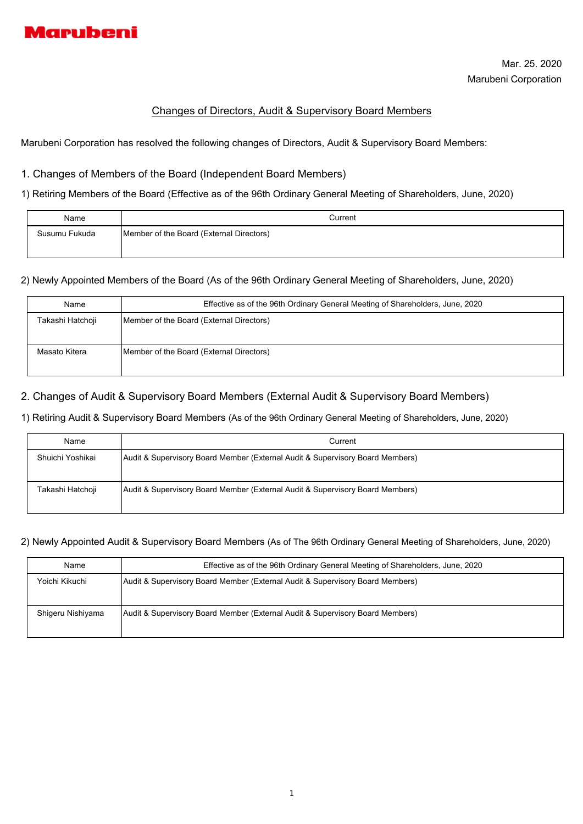

# Changes of Directors, Audit & Supervisory Board Members

Marubeni Corporation has resolved the following changes of Directors, Audit & Supervisory Board Members:

## 1. Changes of Members of the Board (Independent Board Members)

1) Retiring Members of the Board (Effective as of the 96th Ordinary General Meeting of Shareholders, June, 2020)

| Name          | Current                                  |
|---------------|------------------------------------------|
| Susumu Fukuda | Member of the Board (External Directors) |
|               |                                          |

2) Newly Appointed Members of the Board (As of the 96th Ordinary General Meeting of Shareholders, June, 2020)

| Name             | Effective as of the 96th Ordinary General Meeting of Shareholders, June, 2020 |
|------------------|-------------------------------------------------------------------------------|
| Takashi Hatchoji | Member of the Board (External Directors)                                      |
|                  |                                                                               |
| Masato Kitera    | Member of the Board (External Directors)                                      |
|                  |                                                                               |

# 2. Changes of Audit & Supervisory Board Members (External Audit & Supervisory Board Members)

1) Retiring Audit & Supervisory Board Members (As of the 96th Ordinary General Meeting of Shareholders, June, 2020)

| Name             | Current                                                                       |
|------------------|-------------------------------------------------------------------------------|
| Shuichi Yoshikai | Audit & Supervisory Board Member (External Audit & Supervisory Board Members) |
| Takashi Hatchoji | Audit & Supervisory Board Member (External Audit & Supervisory Board Members) |

#### 2) Newly Appointed Audit & Supervisory Board Members (As of The 96th Ordinary General Meeting of Shareholders, June, 2020)

| Name              | Effective as of the 96th Ordinary General Meeting of Shareholders, June, 2020 |
|-------------------|-------------------------------------------------------------------------------|
| Yoichi Kikuchi    | Audit & Supervisory Board Member (External Audit & Supervisory Board Members) |
| Shigeru Nishiyama | Audit & Supervisory Board Member (External Audit & Supervisory Board Members) |